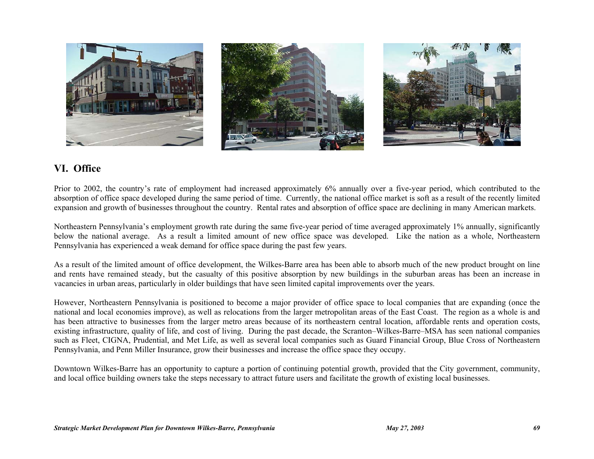

# **VI. Office**

Prior to 2002, the country's rate of employment had increased approximately 6% annually over a five-year period, which contributed to the absorption of office space developed during the same period of time. Currently, the national office market is soft as a result of the recently limited expansion and growth of businesses throughout the country. Rental rates and absorption of office space are declining in many American markets.

Northeastern Pennsylvania's employment growth rate during the same five-year period of time averaged approximately 1% annually, significantly below the national average. As a result a limited amount of new office space was developed. Like the nation as a whole, Northeastern Pennsylvania has experienced a weak demand for office space during the past few years.

As a result of the limited amount of office development, the Wilkes-Barre area has been able to absorb much of the new product brought on line and rents have remained steady, but the casualty of this positive absorption by new buildings in the suburban areas has been an increase in vacancies in urban areas, particularly in older buildings that have seen limited capital improvements over the years.

However, Northeastern Pennsylvania is positioned to become a major provider of office space to local companies that are expanding (once the national and local economies improve), as well as relocations from the larger metropolitan areas of the East Coast. The region as a whole is and has been attractive to businesses from the larger metro areas because of its northeastern central location, affordable rents and operation costs, existing infrastructure, quality of life, and cost of living. During the past decade, the Scranton–Wilkes-Barre–MSA has seen national companies such as Fleet, CIGNA, Prudential, and Met Life, as well as several local companies such as Guard Financial Group, Blue Cross of Northeastern Pennsylvania, and Penn Miller Insurance, grow their businesses and increase the office space they occupy.

Downtown Wilkes-Barre has an opportunity to capture a portion of continuing potential growth, provided that the City government, community, and local office building owners take the steps necessary to attract future users and facilitate the growth of existing local businesses.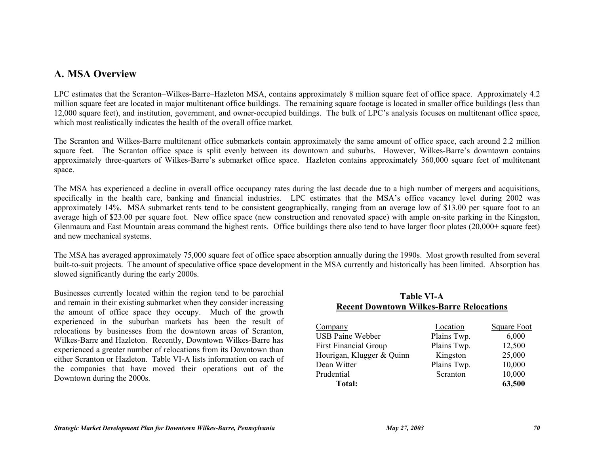# **A. MSA Overview**

LPC estimates that the Scranton–Wilkes-Barre–Hazleton MSA, contains approximately 8 million square feet of office space. Approximately 4.2 million square feet are located in major multitenant office buildings. The remaining square footage is located in smaller office buildings (less than 12,000 square feet), and institution, government, and owner-occupied buildings. The bulk of LPC's analysis focuses on multitenant office space, which most realistically indicates the health of the overall office market.

The Scranton and Wilkes-Barre multitenant office submarkets contain approximately the same amount of office space, each around 2.2 million square feet. The Scranton office space is split evenly between its downtown and suburbs. However, Wilkes-Barre's downtown contains approximately three-quarters of Wilkes-Barre's submarket office space. Hazleton contains approximately 360,000 square feet of multitenant space.

The MSA has experienced a decline in overall office occupancy rates during the last decade due to a high number of mergers and acquisitions, specifically in the health care, banking and financial industries. LPC estimates that the MSA's office vacancy level during 2002 was approximately 14%. MSA submarket rents tend to be consistent geographically, ranging from an average low of \$13.00 per square foot to an average high of \$23.00 per square foot. New office space (new construction and renovated space) with ample on-site parking in the Kingston, Glenmaura and East Mountain areas command the highest rents. Office buildings there also tend to have larger floor plates (20,000+ square feet) and new mechanical systems.

The MSA has averaged approximately 75,000 square feet of office space absorption annually during the 1990s. Most growth resulted from several built-to-suit projects. The amount of speculative office space development in the MSA currently and historically has been limited. Absorption has slowed significantly during the early 2000s.

Businesses currently located within the region tend to be parochial and remain in their existing submarket when they consider increasing the amount of office space they occupy. Much of the growth experienced in the suburban markets has been the result of relocations by businesses from the downtown areas of Scranton, Wilkes-Barre and Hazleton. Recently, Downtown Wilkes-Barre has experienced a greater number of relocations from its Downtown than either Scranton or Hazleton. Table VI-A lists information on each of the companies that have moved their operations out of the Downtown during the 2000s.

## **Table VI-A Recent Downtown Wilkes-Barre Relocations**

| Company                      | Location    | <b>Square Foot</b> |
|------------------------------|-------------|--------------------|
| <b>USB Paine Webber</b>      | Plains Twp. | 6,000              |
| <b>First Financial Group</b> | Plains Twp. | 12,500             |
| Hourigan, Klugger & Quinn    | Kingston    | 25,000             |
| Dean Witter                  | Plains Twp. | 10,000             |
| Prudential                   | Scranton    | 10,000             |
| Total:                       |             | 63,500             |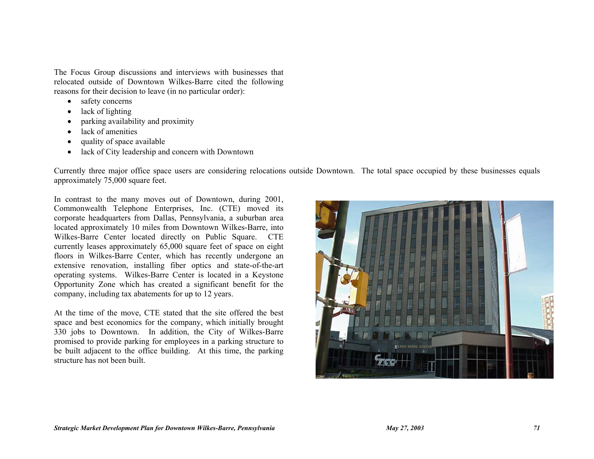The Focus Group discussions and interviews with businesses that relocated outside of Downtown Wilkes-Barre cited the following reasons for their decision to leave (in no particular order):

- safety concerns
- lack of lighting
- parking availability and proximity
- lack of amenities
- quality of space available
- lack of City leadership and concern with Downtown

Currently three major office space users are considering relocations outside Downtown. The total space occupied by these businesses equals approximately 75,000 square feet.

In contrast to the many moves out of Downtown, during 2001, Commonwealth Telephone Enterprises, Inc. (CTE) moved its corporate headquarters from Dallas, Pennsylvania, a suburban area located approximately 10 miles from Downtown Wilkes-Barre, into Wilkes-Barre Center located directly on Public Square. CTE currently leases approximately 65,000 square feet of space on eight floors in Wilkes-Barre Center, which has recently undergone an extensive renovation, installing fiber optics and state-of-the-art operating systems. Wilkes-Barre Center is located in a Keystone Opportunity Zone which has created a significant benefit for the company, including tax abatements for up to 12 years.

At the time of the move, CTE stated that the site offered the best space and best economics for the company, which initially brought 330 jobs to Downtown. In addition, the City of Wilkes-Barre promised to provide parking for employees in a parking structure to be built adjacent to the office building. At this time, the parking structure has not been built.

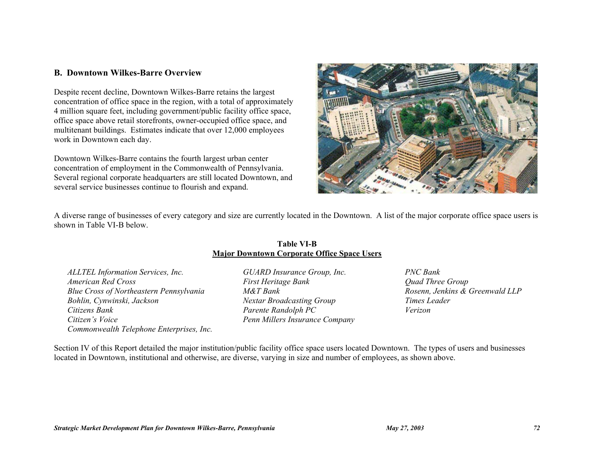## **B. Downtown Wilkes-Barre Overview**

Despite recent decline, Downtown Wilkes-Barre retains the largest concentration of office space in the region, with a total of approximately 4 million square feet, including government/public facility office space, office space above retail storefronts, owner-occupied office space, and multitenant buildings. Estimates indicate that over 12,000 employees work in Downtown each day.

Downtown Wilkes-Barre contains the fourth largest urban center concentration of employment in the Commonwealth of Pennsylvania. Several regional corporate headquarters are still located Downtown, and several service businesses continue to flourish and expand.



A diverse range of businesses of every category and size are currently located in the Downtown. A list of the major corporate office space users is shown in Table VI-B below.

### **Table VI-B Major Downtown Corporate Office Space Users**

*ALLTEL Information Services, Inc. GUARD Insurance Group, Inc. PNC Bank American Red Cross* **First Heritage Bank** *First Heritage Bank Quad Three Group Quad Three Group* **Blue Cross of Northeastern Pennsylvania** M&T Bank Rosenn, Jenkins & Greenwald LLP *Bohlin, Cynwinski, Jackson Nextar Broadcasting Group Times Leader Citizens Bank Parente Randolph PC Verizon Citizen's Voice Penn Millers Insurance Company Commonwealth Telephone Enterprises, Inc.* 

Section IV of this Report detailed the major institution/public facility office space users located Downtown. The types of users and businesses located in Downtown, institutional and otherwise, are diverse, varying in size and number of employees, as shown above.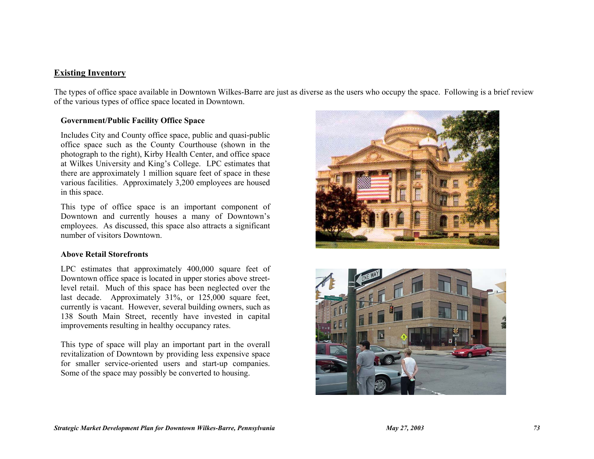## **Existing Inventory**

The types of office space available in Downtown Wilkes-Barre are just as diverse as the users who occupy the space. Following is a brief review of the various types of office space located in Downtown.

### **Government/Public Facility Office Space**

Includes City and County office space, public and quasi-public office space such as the County Courthouse (shown in the photograph to the right), Kirby Health Center, and office space at Wilkes University and King's College. LPC estimates that there are approximately 1 million square feet of space in these various facilities. Approximately 3,200 employees are housed in this space.

This type of office space is an important component of Downtown and currently houses a many of Downtown's employees. As discussed, this space also attracts a significant number of visitors Downtown.

### **Above Retail Storefronts**

LPC estimates that approximately 400,000 square feet of Downtown office space is located in upper stories above streetlevel retail. Much of this space has been neglected over the last decade. Approximately 31%, or 125,000 square feet, currently is vacant. However, several building owners, such as 138 South Main Street, recently have invested in capital improvements resulting in healthy occupancy rates.

This type of space will play an important part in the overall revitalization of Downtown by providing less expensive space for smaller service-oriented users and start-up companies. Some of the space may possibly be converted to housing.



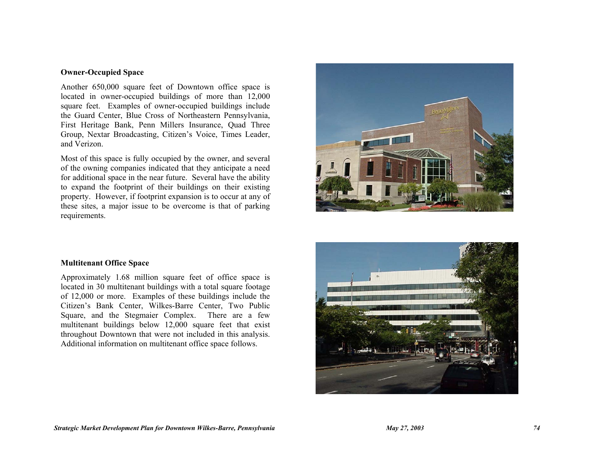### **Owner-Occupied Space**

Another 650,000 square feet of Downtown office space is located in owner-occupied buildings of more than 12,000 square feet. Examples of owner-occupied buildings include the Guard Center, Blue Cross of Northeastern Pennsylvania, First Heritage Bank, Penn Millers Insurance, Quad Three Group, Nextar Broadcasting, Citizen's Voice, Times Leader, and Verizon.

Most of this space is fully occupied by the owner, and several of the owning companies indicated that they anticipate a need for additional space in the near future. Several have the ability to expand the footprint of their buildings on their existing property. However, if footprint expansion is to occur at any of these sites, a major issue to be overcome is that of parking requirements.



#### **Multitenant Office Space**

Approximately 1.68 million square feet of office space is located in 30 multitenant buildings with a total square footage of 12,000 or more. Examples of these buildings include the Citizen's Bank Center, Wilkes-Barre Center, Two Public Square, and the Stegmaier Complex. There are a few multitenant buildings below 12,000 square feet that exist throughout Downtown that were not included in this analysis. Additional information on multitenant office space follows.

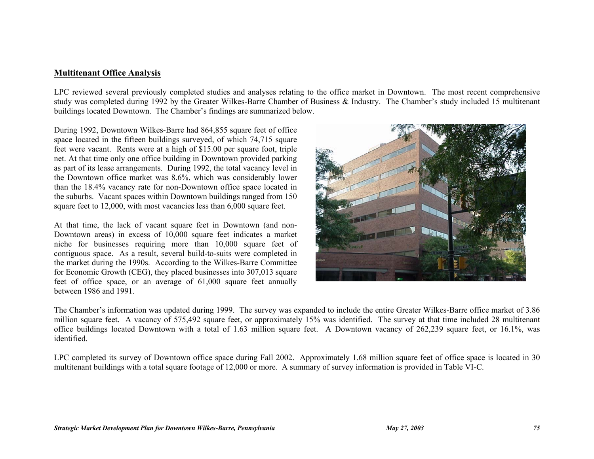### **Multitenant Office Analysis**

LPC reviewed several previously completed studies and analyses relating to the office market in Downtown. The most recent comprehensive study was completed during 1992 by the Greater Wilkes-Barre Chamber of Business & Industry. The Chamber's study included 15 multitenant buildings located Downtown. The Chamber's findings are summarized below.

During 1992, Downtown Wilkes-Barre had 864,855 square feet of office space located in the fifteen buildings surveyed, of which 74,715 square feet were vacant. Rents were at a high of \$15.00 per square foot, triple net. At that time only one office building in Downtown provided parking as part of its lease arrangements. During 1992, the total vacancy level in the Downtown office market was 8.6%, which was considerably lower than the 18.4% vacancy rate for non-Downtown office space located in the suburbs. Vacant spaces within Downtown buildings ranged from 150 square feet to 12,000, with most vacancies less than 6,000 square feet.

At that time, the lack of vacant square feet in Downtown (and non-Downtown areas) in excess of 10,000 square feet indicates a market niche for businesses requiring more than 10,000 square feet of contiguous space. As a result, several build-to-suits were completed in the market during the 1990s. According to the Wilkes-Barre Committee for Economic Growth (CEG), they placed businesses into 307,013 square feet of office space, or an average of 61,000 square feet annually between 1986 and 1991.



The Chamber's information was updated during 1999. The survey was expanded to include the entire Greater Wilkes-Barre office market of 3.86 million square feet. A vacancy of 575,492 square feet, or approximately 15% was identified. The survey at that time included 28 multitenant office buildings located Downtown with a total of 1.63 million square feet. A Downtown vacancy of 262,239 square feet, or 16.1%, was identified.

LPC completed its survey of Downtown office space during Fall 2002. Approximately 1.68 million square feet of office space is located in 30 multitenant buildings with a total square footage of 12,000 or more. A summary of survey information is provided in Table VI-C.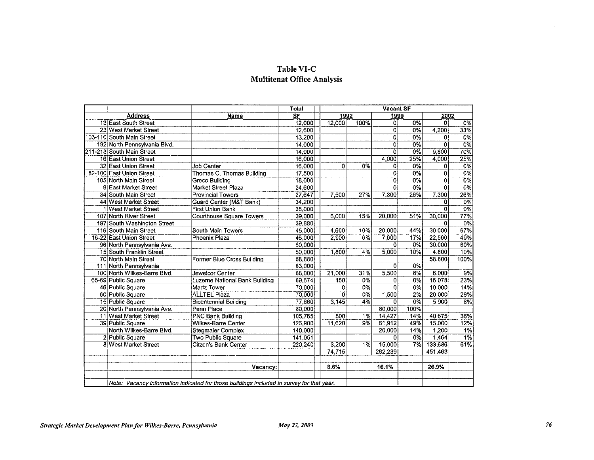# Table VI-C **Multitenat Office Analysis**

| <b>Address</b><br>13 East South Street<br>23 West Market Street<br>106-110 South Main Street<br>192 North Pennsylvania Blvd.<br>211-213 South Main Street<br>16 East Union Street<br>32 East Union Street | Name                                                                                      | SF<br>12,000<br>12.600<br>13,200<br>14.000 | 1992<br>12,000 | 100%             | 1999<br>öl     | $0\%$ | 2002<br>$\overline{0}$ | 0%               |
|-----------------------------------------------------------------------------------------------------------------------------------------------------------------------------------------------------------|-------------------------------------------------------------------------------------------|--------------------------------------------|----------------|------------------|----------------|-------|------------------------|------------------|
|                                                                                                                                                                                                           |                                                                                           |                                            |                |                  |                |       |                        |                  |
|                                                                                                                                                                                                           |                                                                                           |                                            |                |                  |                |       |                        |                  |
|                                                                                                                                                                                                           |                                                                                           |                                            |                |                  | $\overline{0}$ | 0%    | 4,200                  | 33%              |
|                                                                                                                                                                                                           |                                                                                           |                                            |                |                  | ö              | 0%    | $\mathbf{0}$           | 0%               |
|                                                                                                                                                                                                           |                                                                                           |                                            |                |                  | $\overline{0}$ | 0%    | 0                      | 0%               |
|                                                                                                                                                                                                           |                                                                                           | 14.000                                     |                |                  | $\Omega$       | 0%    | 9,800                  | 70%              |
|                                                                                                                                                                                                           |                                                                                           | 16,000                                     |                |                  | 4,000          | 25%   | 4,000                  | 25%              |
|                                                                                                                                                                                                           | <b>Job Center</b>                                                                         | 16,000                                     | 0              | 0%               | $\mathbf{O}$   | 0%    | 0                      | $0\%$            |
| 82-100 East Union Street                                                                                                                                                                                  | Thomas C. Thomas Building                                                                 | 17,500                                     |                |                  | $\Omega$       | 0%    | $\mathbf 0$            | $\overline{0\%}$ |
| 105 North Main Street                                                                                                                                                                                     | Greco Building                                                                            | 18,000                                     |                |                  | 0              | 0%    | 0                      | 0%               |
| 9 East Market Street                                                                                                                                                                                      | Market Street Plaza                                                                       | 24,600                                     |                |                  | $\overline{0}$ | 0%    | ñ                      | $\overline{0\%}$ |
| 34 South Main Street                                                                                                                                                                                      | <b>Provincial Towers</b>                                                                  | 27,647                                     | 7,500          | 27%              | 7,300          | 26%   | 7,300                  | 26%              |
| 44 West Market Street                                                                                                                                                                                     | Guard Center (M&T Bank)                                                                   | 34.200                                     |                |                  |                |       | 0                      | $0\%$            |
| 1 West Market Street                                                                                                                                                                                      | <b>First Union Bank</b>                                                                   | 38,000                                     |                |                  |                |       | <sup>o</sup>           | 0%               |
| 107 North River Street                                                                                                                                                                                    | <b>Courthouse Square Towers</b>                                                           | 39,000                                     | 6,000          | 15%              | 20,000         | 51%   | 30,000                 | 77%              |
| 197 South Washington Street                                                                                                                                                                               |                                                                                           | 39,880                                     |                |                  |                |       | 0                      | 0%               |
| 116 South Main Street                                                                                                                                                                                     | South Main Towers                                                                         | 45.000                                     | 4,600          | 10%              | 20,000         | 44%   | 30,000                 | 67%              |
| 16-22 East Union Street                                                                                                                                                                                   | Phoenix Plaza                                                                             | 46,000                                     | 2,900          | 6%               | 7,600          | 17%   | 22,560                 | 49%              |
| 96 North Pennsylvania Ave.                                                                                                                                                                                |                                                                                           | 50,000                                     |                |                  | $\Omega$       | 0%    | 30,000                 | 60%              |
| 15 South Franklin Street                                                                                                                                                                                  |                                                                                           | 50.000                                     | 1,800          | 4%               | 5,000          | 10%   | 4,800                  | 10%              |
| 70 North Main Street                                                                                                                                                                                      | Former Blue Cross Building                                                                | 58,880                                     |                |                  |                |       | 58,800                 | 100%             |
| 111 North Pennsylvania                                                                                                                                                                                    |                                                                                           | 63.000                                     |                |                  | 0              | $0\%$ |                        |                  |
| 100 North Wilkes-Barre Blvd.                                                                                                                                                                              | Jewelcor Center                                                                           | 68,000                                     | 21,000         | 31%              | 5,500          | $8\%$ | 6.000                  | 9%               |
| 65-69 Public Square                                                                                                                                                                                       | Luzerne National Bank Building                                                            | 69,674                                     | 150            | 0%               | 0              | 0%    | 16,078                 | 23%              |
| 46 Public Square                                                                                                                                                                                          | Martz Tower                                                                               | 70,000                                     | $\Omega$       | 0%               | $\overline{0}$ | 0%    | 10,000                 | 14%              |
| 60 Public Square                                                                                                                                                                                          | <b>ALLTEL Plaza</b>                                                                       | 70,000                                     | $\Omega$       | 0%               | 1,500          | 2%    | 20,000                 | 29%              |
| 15 Public Square                                                                                                                                                                                          | Bicentennial Building                                                                     | 77.860                                     | 3,145          | 4%               | o              | 0%    | 5,900                  | $\overline{8\%}$ |
| 20 North Pennsylvania Ave.                                                                                                                                                                                | Penn Place                                                                                | 80,000                                     |                |                  | 80,000         | 100%  |                        |                  |
| 11 West Market Street                                                                                                                                                                                     | <b>PNC Bank Building</b>                                                                  | 105.765                                    | 800            | 1%               | 14,427         | 14%   | 40.675                 | 38%              |
| 39 Public Square                                                                                                                                                                                          | Wilkes-Barre Center                                                                       | 126,900                                    | 11,620         | $\overline{9\%}$ | 61,912         | 49%   | 15,000                 | 12%              |
| North Wilkes-Barre Blvd.                                                                                                                                                                                  | <b>Stegmaier Complex</b>                                                                  | 140,000                                    |                |                  | 20,000         | 14%   | 1,200                  | 1%               |
| 2 Public Square                                                                                                                                                                                           | Two Public Square                                                                         | 141,051                                    |                |                  | $\Omega$       | $0\%$ | 1,464                  | 1%               |
| 8 West Market Street                                                                                                                                                                                      | Citzen's Bank Center                                                                      | 220,240                                    | 3,200          | 1%               | 15,000         | 7%    | 133,686                | 61%              |
|                                                                                                                                                                                                           |                                                                                           |                                            | 74.715         |                  | 262,239        |       | 451.463                |                  |
|                                                                                                                                                                                                           |                                                                                           |                                            |                |                  |                |       |                        |                  |
|                                                                                                                                                                                                           | Vacancy:                                                                                  |                                            | 8.6%           |                  | 16.1%          |       | 26.9%                  |                  |
|                                                                                                                                                                                                           | Note: Vacancy information indicated for those buildings included in survey for that year. |                                            |                |                  |                |       |                        |                  |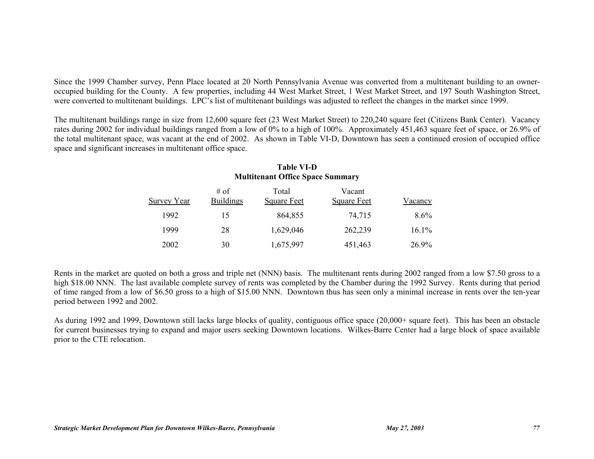Since the 1999 Chamber survey, Penn Place located at 20 North Pennsylvania Avenue was converted from a multitenant building to an owneroccupied building for the County. A few properties, including 44 West Market Street, 1 West Market Street, and 197 South Washington Street, were converted to multitenant buildings. LPC's list of multitenant buildings was adjusted to reflect the changes in the market since 1999.

The multitenant buildings range in size from 12,600 square feet (23 West Market Street) to 220,240 square feet (Citizens Bank Center). Vacancy rates during 2002 for individual buildings ranged from a low of 0% to a high of 100%. Approximately 451,463 square feet of space, or 26.9% of the total multitenant space, was vacant at the end of 2002. As shown in Table VI-D, Downtown has seen a continued erosion of occupied office space and significant increases in multitenant office space.

| <b>Multitenant Office Space Summary</b> |                          |                             |                              |         |
|-----------------------------------------|--------------------------|-----------------------------|------------------------------|---------|
| Survey Year                             | # of<br><b>Buildings</b> | Total<br><b>Square Feet</b> | Vacant<br><b>Square Feet</b> | Vacancy |
| 1992                                    | 15                       | 864,855                     | 74,715                       | $8.6\%$ |
| 1999                                    | 28                       | 1,629,046                   | 262,239                      | 16.1%   |
| 2002                                    | 30                       | 1,675,997                   | 451,463                      | 26.9%   |

# **Table VI-D**

Rents in the market are quoted on both a gross and triple net (NNN) basis. The multitenant rents during 2002 ranged from a low \$7.50 gross to a high \$18.00 NNN. The last available complete survey of rents was completed by the Chamber during the 1992 Survey. Rents during that period of time ranged from a low of \$6.50 gross to a high of \$15.00 NNN. Downtown thus has seen only a minimal increase in rents over the ten-year period between 1992 and 2002.

As during 1992 and 1999, Downtown still lacks large blocks of quality, contiguous office space (20,000+ square feet). This has been an obstacle for current businesses trying to expand and major users seeking Downtown locations. Wilkes-Barre Center had a large block of space available prior to the CTE relocation.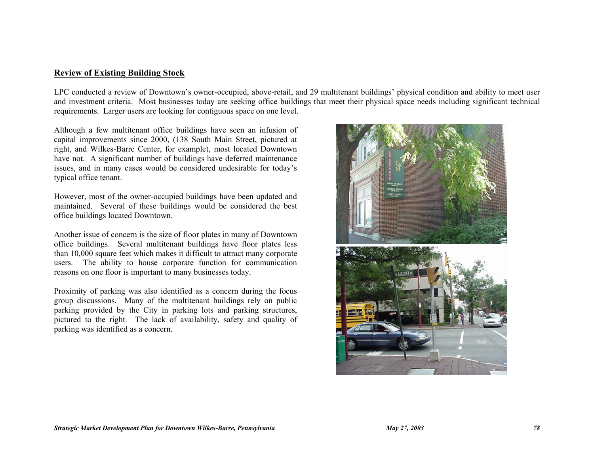### **Review of Existing Building Stock**

LPC conducted a review of Downtown's owner-occupied, above-retail, and 29 multitenant buildings' physical condition and ability to meet user and investment criteria. Most businesses today are seeking office buildings that meet their physical space needs including significant technical requirements. Larger users are looking for contiguous space on one level.

Although a few multitenant office buildings have seen an infusion of capital improvements since 2000, (138 South Main Street, pictured at right, and Wilkes-Barre Center, for example), most located Downtown have not. A significant number of buildings have deferred maintenance issues, and in many cases would be considered undesirable for today's typical office tenant.

However, most of the owner-occupied buildings have been updated and maintained. Several of these buildings would be considered the best office buildings located Downtown.

Another issue of concern is the size of floor plates in many of Downtown office buildings. Several multitenant buildings have floor plates less than 10,000 square feet which makes it difficult to attract many corporate users. The ability to house corporate function for communication reasons on one floor is important to many businesses today.

Proximity of parking was also identified as a concern during the focus group discussions. Many of the multitenant buildings rely on public parking provided by the City in parking lots and parking structures, pictured to the right. The lack of availability, safety and quality of parking was identified as a concern.

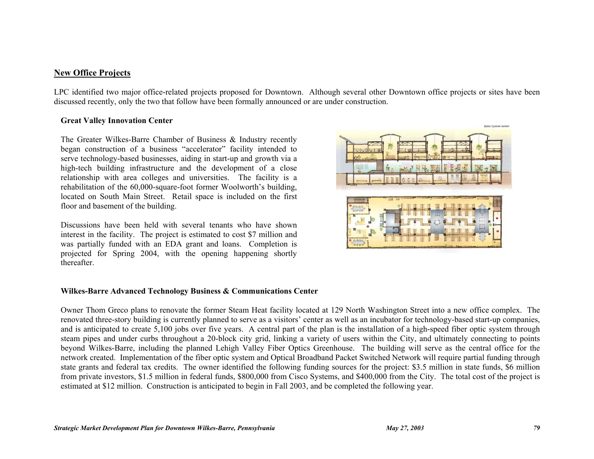## **New Office Projects**

LPC identified two major office-related projects proposed for Downtown. Although several other Downtown office projects or sites have been discussed recently, only the two that follow have been formally announced or are under construction.

### **Great Valley Innovation Center**

The Greater Wilkes-Barre Chamber of Business & Industry recently began construction of a business "accelerator" facility intended to serve technology-based businesses, aiding in start-up and growth via a high-tech building infrastructure and the development of a close relationship with area colleges and universities. The facility is a rehabilitation of the 60,000-square-foot former Woolworth's building, located on South Main Street. Retail space is included on the first floor and basement of the building.

Discussions have been held with several tenants who have shown interest in the facility. The project is estimated to cost \$7 million and was partially funded with an EDA grant and loans. Completion is projected for Spring 2004, with the opening happening shortly thereafter.



### **Wilkes-Barre Advanced Technology Business & Communications Center**

Owner Thom Greco plans to renovate the former Steam Heat facility located at 129 North Washington Street into a new office complex. The renovated three-story building is currently planned to serve as a visitors' center as well as an incubator for technology-based start-up companies, and is anticipated to create 5,100 jobs over five years. A central part of the plan is the installation of a high-speed fiber optic system through steam pipes and under curbs throughout a 20-block city grid, linking a variety of users within the City, and ultimately connecting to points beyond Wilkes-Barre, including the planned Lehigh Valley Fiber Optics Greenhouse. The building will serve as the central office for the network created. Implementation of the fiber optic system and Optical Broadband Packet Switched Network will require partial funding through state grants and federal tax credits. The owner identified the following funding sources for the project: \$3.5 million in state funds, \$6 million from private investors, \$1.5 million in federal funds, \$800,000 from Cisco Systems, and \$400,000 from the City. The total cost of the project is estimated at \$12 million. Construction is anticipated to begin in Fall 2003, and be completed the following year.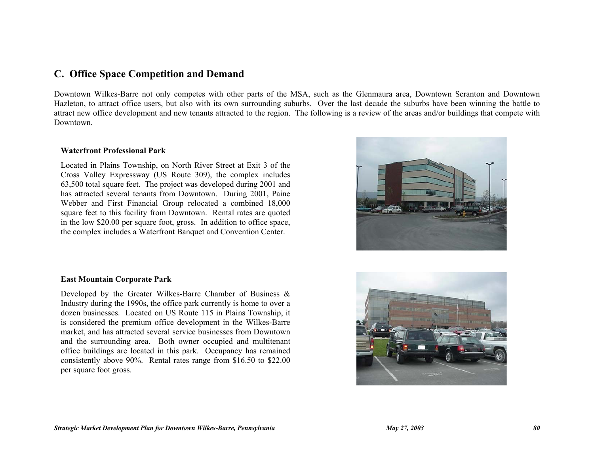# **C. Office Space Competition and Demand**

Downtown Wilkes-Barre not only competes with other parts of the MSA, such as the Glenmaura area, Downtown Scranton and Downtown Hazleton, to attract office users, but also with its own surrounding suburbs. Over the last decade the suburbs have been winning the battle to attract new office development and new tenants attracted to the region. The following is a review of the areas and/or buildings that compete with Downtown.

### **Waterfront Professional Park**

Located in Plains Township, on North River Street at Exit 3 of the Cross Valley Expressway (US Route 309), the complex includes 63,500 total square feet. The project was developed during 2001 and has attracted several tenants from Downtown. During 2001, Paine Webber and First Financial Group relocated a combined 18,000 square feet to this facility from Downtown. Rental rates are quoted in the low \$20.00 per square foot, gross. In addition to office space, the complex includes a Waterfront Banquet and Convention Center.



### **East Mountain Corporate Park**

Developed by the Greater Wilkes-Barre Chamber of Business & Industry during the 1990s, the office park currently is home to over a dozen businesses. Located on US Route 115 in Plains Township, it is considered the premium office development in the Wilkes-Barre market, and has attracted several service businesses from Downtown and the surrounding area. Both owner occupied and multitenant office buildings are located in this park. Occupancy has remained consistently above 90%. Rental rates range from \$16.50 to \$22.00 per square foot gross.

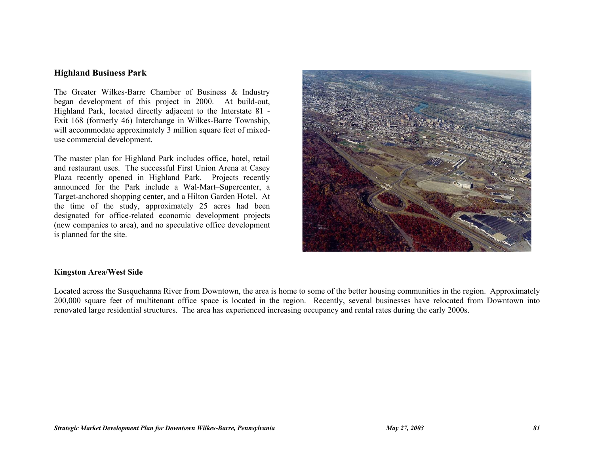## **Highland Business Park**

The Greater Wilkes-Barre Chamber of Business & Industry began development of this project in 2000. At build-out, Highland Park, located directly adjacent to the Interstate 81 - Exit 168 (formerly 46) Interchange in Wilkes-Barre Township, will accommodate approximately 3 million square feet of mixeduse commercial development.

The master plan for Highland Park includes office, hotel, retail and restaurant uses. The successful First Union Arena at Casey Plaza recently opened in Highland Park. Projects recently announced for the Park include a Wal-Mart–Supercenter, a Target-anchored shopping center, and a Hilton Garden Hotel. At the time of the study, approximately 25 acres had been designated for office-related economic development projects (new companies to area), and no speculative office development is planned for the site.



### **Kingston Area/West Side**

Located across the Susquehanna River from Downtown, the area is home to some of the better housing communities in the region. Approximately 200,000 square feet of multitenant office space is located in the region. Recently, several businesses have relocated from Downtown into renovated large residential structures. The area has experienced increasing occupancy and rental rates during the early 2000s.